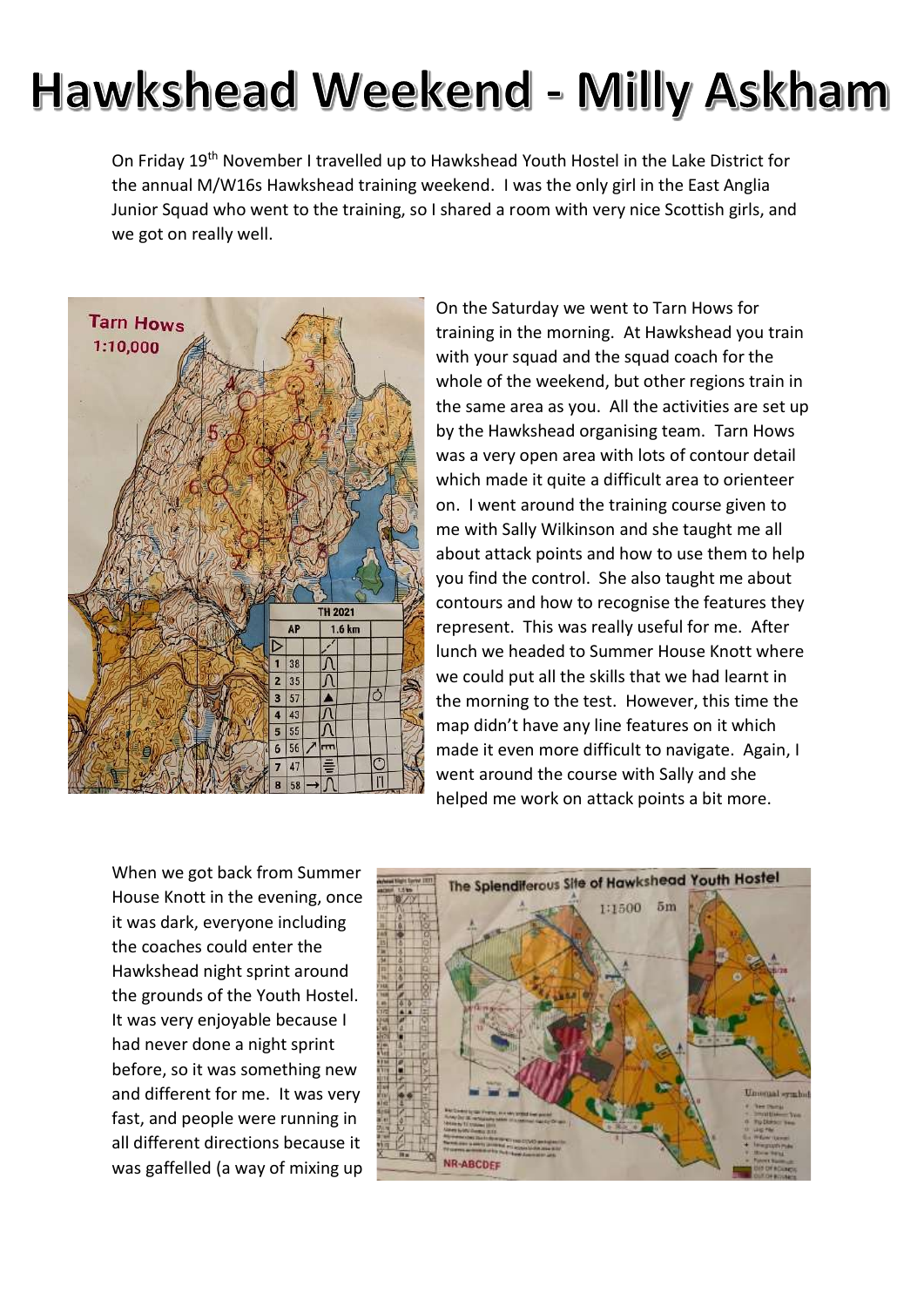## Hawkshead Weekend - Milly Askham

On Friday 19th November I travelled up to Hawkshead Youth Hostel in the Lake District for the annual M/W16s Hawkshead training weekend. I was the only girl in the East Anglia Junior Squad who went to the training, so I shared a room with very nice Scottish girls, and we got on really well.



On the Saturday we went to Tarn Hows for training in the morning. At Hawkshead you train with your squad and the squad coach for the whole of the weekend, but other regions train in the same area as you. All the activities are set up by the Hawkshead organising team. Tarn Hows was a very open area with lots of contour detail which made it quite a difficult area to orienteer on. I went around the training course given to me with Sally Wilkinson and she taught me all about attack points and how to use them to help you find the control. She also taught me about contours and how to recognise the features they represent. This was really useful for me. After lunch we headed to Summer House Knott where we could put all the skills that we had learnt in the morning to the test. However, this time the map didn't have any line features on it which made it even more difficult to navigate. Again, I went around the course with Sally and she helped me work on attack points a bit more.

When we got back from Summer House Knott in the evening, once it was dark, everyone including the coaches could enter the Hawkshead night sprint around the grounds of the Youth Hostel. It was very enjoyable because I had never done a night sprint before, so it was something new and different for me. It was very fast, and people were running in all different directions because it was gaffelled (a way of mixing up